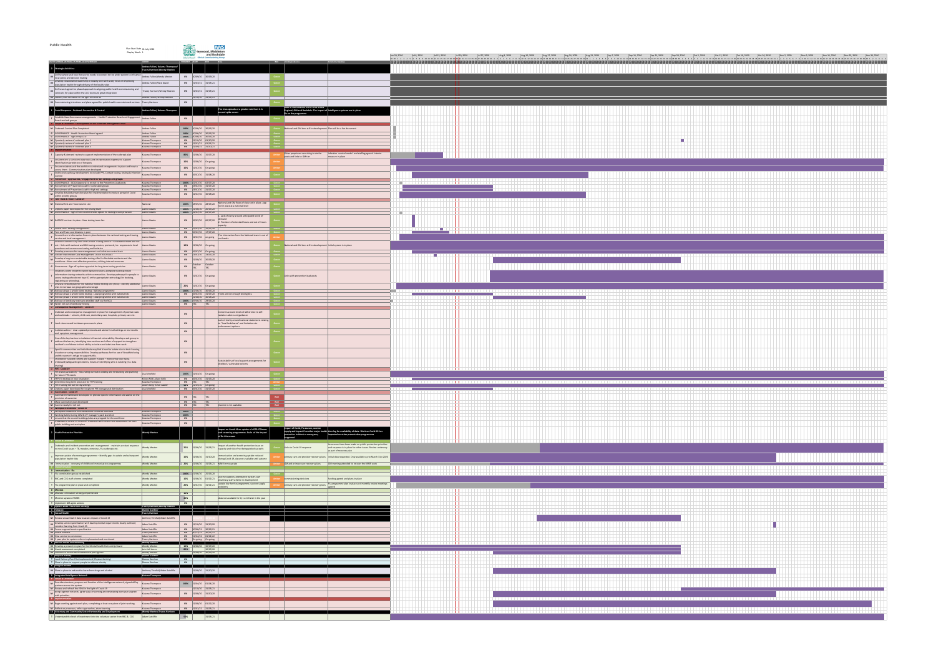

| <b>Public Health</b>                                                                                                                                                                                                                                                                 | Plan Start Date 01 July 2020<br>Display Week: 1                                        | Heywood, Middleton<br>and Rochdale                                                                                                                                                     | <b>NHS</b>                                                                                        |                                                                                                                                                                                                   |                                                                                                                                                                                                                                                                |                  |                                |             |                              |              |                             |              |                                         |                     |                                              |                      |             |                             |                           |  |
|--------------------------------------------------------------------------------------------------------------------------------------------------------------------------------------------------------------------------------------------------------------------------------------|----------------------------------------------------------------------------------------|----------------------------------------------------------------------------------------------------------------------------------------------------------------------------------------|---------------------------------------------------------------------------------------------------|---------------------------------------------------------------------------------------------------------------------------------------------------------------------------------------------------|----------------------------------------------------------------------------------------------------------------------------------------------------------------------------------------------------------------------------------------------------------------|------------------|--------------------------------|-------------|------------------------------|--------------|-----------------------------|--------------|-----------------------------------------|---------------------|----------------------------------------------|----------------------|-------------|-----------------------------|---------------------------|--|
| (D) DELIVERABLE, (P) PHASE, (T) TASKS, (G) GOVERNANG                                                                                                                                                                                                                                 |                                                                                        | ROCHDALE<br><b>Clinical Commissioning Grou</b><br><b>PROGRESS</b> START END Risks                                                                                                      |                                                                                                   | RAG Interdependencies                                                                                                                                                                             | Jul 6, 2020<br>Jun 29, 2020<br>29 30 1 2 3 4 5 6 7 8 9 10 11 12 13 14 15 16 17 18 19 20 21 22 23 24 25 26 27 28 29 30 31 1 2 3 4 5 6 7 8 9 10 11 12 13 14 15 16 17 18 19 20 21 22 23 24 25 26 27 28 29 30 1 2 3 4 5 6 7 8 9 10 11 12 13 14 15 16 17 18 19 20 2 | $ $ Jul 13, 2020 | $Jul$ 27, 2020<br>Jul 20, 2020 | Aug 3, 2020 | Aug 10, 2020<br>Aug 17, 2020 | Aug 24, 2020 | Aug 31, 2020<br>Sep 7, 2020 | Sep 14, 2020 | $\mathsf{Sep}\,21,2020$<br>Sep 28, 2020 | $\vert$ Oct 5, 2020 | $\vert$ Oct 12, 2020<br>$\vert$ Oct 19, 2020 | $\vert$ Oct 26, 2020 | Nov 2, 2020 | Nov 9, 2020<br>Nov 16, 2020 | Nov 23, 2020 Nov 30, 2020 |  |
| <b>0</b> Strategic Activities -                                                                                                                                                                                                                                                      | <b>OWNER</b><br>Andrea Fallon/ Kuiama Thompson/<br><b>Tracey Harrison/Wendy Meston</b> |                                                                                                                                                                                        |                                                                                                   | Comments/ Updates                                                                                                                                                                                 |                                                                                                                                                                                                                                                                |                  |                                |             |                              |              |                             |              |                                         |                     |                                              |                      |             |                             |                           |  |
| Define where and how the service needs to connect to the wider system to influence<br>$\mathbf{w}$   local policy and decision making                                                                                                                                                | Andrea Fallon/Wendy Meston                                                             | 0% 30/09/20 30/09/20                                                                                                                                                                   |                                                                                                   |                                                                                                                                                                                                   |                                                                                                                                                                                                                                                                |                  |                                |             |                              |              |                             |              |                                         |                     |                                              |                      |             |                             |                           |  |
| M Develop collaborative leadership at locality level with a key focus on improving<br>population health through delivery of the locality plan                                                                                                                                        | Andrea Fallon/Place board                                                              | $\begin{array}{ c c c c c c }\n\hline\n0\% & 31/03/21 & 31/03/21\n\end{array}$                                                                                                         |                                                                                                   |                                                                                                                                                                                                   |                                                                                                                                                                                                                                                                |                  |                                |             |                              |              |                             |              |                                         |                     |                                              |                      |             |                             |                           |  |
| <b>M</b> Define and agree the phased approach to aligning public health commissioning and contracts for place within the LCO to ensure great integration                                                                                                                             | Tracey Harrison/Wendy Meston                                                           | $\begin{array}{cccc} 0\% & 31/03/21 & 31/03/21 \end{array}$                                                                                                                            |                                                                                                   |                                                                                                                                                                                                   |                                                                                                                                                                                                                                                                |                  |                                |             |                              |              |                             |              |                                         |                     |                                              |                      |             |                             |                           |  |
| $\mid$ M Locality Plan refreshed in the light of Covid-19<br>$\mid$ M $\mid$ Commissioning intentions and plans agreed for public health commissioned services $\mid$ Tracey Harrison                                                                                                | Andrea Fallon/ Wendy Meston                                                            | $\vert 01/10/20 \vert$<br>31/03/21<br>0%                                                                                                                                               |                                                                                                   |                                                                                                                                                                                                   |                                                                                                                                                                                                                                                                |                  |                                |             |                              |              |                             |              |                                         |                     |                                              |                      |             |                             |                           |  |
| 1 Covid Response - Outbreak Prevention & Control                                                                                                                                                                                                                                     | Andrea Fallon/ Kuiama Thompson                                                         |                                                                                                                                                                                        | The virus spreads at a greater rate than $1. A$<br>second spike occurs                            | Rate of transmission of the virus across<br>England, GM and Rochdale. The impact of Intelligence systems are in place<br><b>flu on the programme</b>                                              |                                                                                                                                                                                                                                                                |                  |                                |             |                              |              |                             |              |                                         |                     |                                              |                      |             |                             |                           |  |
| $\frac{1}{2}$ Establish New Governance arrangements – Health Protection Board and Engagement<br>$\mathsf{P}$ Board and sub groups<br>P Scope & Definition - Development of the Outbreak Management Plan                                                                              | Andrea Fallon                                                                          | 0%                                                                                                                                                                                     |                                                                                                   |                                                                                                                                                                                                   |                                                                                                                                                                                                                                                                |                  |                                |             |                              |              |                             |              |                                         |                     |                                              |                      |             |                             |                           |  |
| M Outbreak Control Plan Completed                                                                                                                                                                                                                                                    | Andrea Fallon                                                                          | 100% 30/06/20 30/06/20                                                                                                                                                                 |                                                                                                   | National and GM tiers still in development Plan will be a live document                                                                                                                           |                                                                                                                                                                                                                                                                |                  |                                |             |                              |              |                             |              |                                         |                     |                                              |                      |             |                             |                           |  |
| <b>G</b> GOVERNANCE - Health Protection Board agreed<br><b>G</b> GOVERNANCE - Sign off by CEO<br>$\mid$ M $\mid$ Quarterly review of outbreak plan 1                                                                                                                                 | Andrea Fallon<br>Andrea Fallon<br>Kuiama Thompson                                      | $\sqrt{100\%}$ 30/06/20 30/06/20<br>$\sqrt{100\%}$ 30/06/20 30/06/20<br>$\begin{array}{ c c c c c c }\hline \textbf{0\%} & \textbf{0\1/10/20} & \textbf{0\1/10/20} \hline \end{array}$ |                                                                                                   |                                                                                                                                                                                                   |                                                                                                                                                                                                                                                                |                  |                                |             |                              |              |                             |              |                                         |                     |                                              |                      |             |                             |                           |  |
| $\parallel$ M $\parallel$ Quarterly review of outbreak plan 2<br>$\vert$ M $\vert$ Quarterly review of outbreak plan 3<br>P Implementation                                                                                                                                           | Kuiama Thompsor<br>Kuiama Thompson                                                     | 0% $ 01/09/21 $ 31/10/21                                                                                                                                                               |                                                                                                   |                                                                                                                                                                                                   | .                                                                                                                                                                                                                                                              |                  |                                |             |                              |              |                             |              |                                         |                     |                                              |                      |             |                             |                           |  |
| $\vert$ T $\vert$ Capacity & demand review to support implementation of the outbreak plan                                                                                                                                                                                            | Kuiama Thompson                                                                        | 15/07/20<br>$80\%$ 01/06/20                                                                                                                                                            |                                                                                                   | Infection control model and staffing agreed. Interim<br>Other people are recruiting to similar<br>posts and links to GM tier<br>$\vert$ measure in place                                          |                                                                                                                                                                                                                                                                |                  |                                |             |                              |              |                             |              |                                         |                     |                                              |                      |             |                             |                           |  |
| $\vert$ Ensure there is sufficient data flows and interpretation expertise to support<br>Identification/prediction of hotspots<br>$\vert$ Ensure residents and the workforce understand arrangements in place and how to                                                             | Kuiama Thompson<br>Kuiama Thompson                                                     | 10% $01/06/20$ On-going<br><b>10%</b> 01/07/20 On-going                                                                                                                                |                                                                                                   |                                                                                                                                                                                                   |                                                                                                                                                                                                                                                                |                  |                                |             |                              |              |                             |              |                                         |                     |                                              |                      |             |                             |                           |  |
| access them - Communication plan developed<br>$\Box$ End to end pathway development to include PPE, Contact tracing, testing & Infection $\parallel$                                                                                                                                 | $\dot{\phantom{a}}$ Kuiama Thompson                                                    | <b>0%</b> $\begin{array}{ l} 06/07/20 \end{array}$ 31/08/20                                                                                                                            |                                                                                                   |                                                                                                                                                                                                   |                                                                                                                                                                                                                                                                |                  |                                |             |                              |              |                             |              |                                         |                     |                                              |                      |             |                             |                           |  |
| D Prevention - Approaches / engagement for key settings and groups<br>$\vert$ G $\vert$ GOVERNANCE - GOLD Approval to recruit to the Prevention Lead posts<br>  M   Recruitment of Prevention Lead for vulnerable groups                                                             | Kuiama Thompson<br>Kuiama Thompson                                                     | 100% 02/07/20 02/07/20<br>0% $\big  03/07/20 \big  31/07/20 \big $                                                                                                                     |                                                                                                   |                                                                                                                                                                                                   |                                                                                                                                                                                                                                                                |                  |                                |             |                              |              |                             |              |                                         |                     |                                              |                      |             |                             |                           |  |
| M   Recruitment of Prevention Lead for high risk settings<br>M Develop detailed prevention plan for implementation to reduce spread of Covid<br>within priority groups                                                                                                               | Kuiama Thompson<br>Kuiama Thompson                                                     | 0% $\big 03/07/20\big 31/07/20\big $<br><b>0%</b> $\begin{array}{ l} 02/07/20 \end{array}$ 30/08/20                                                                                    |                                                                                                   |                                                                                                                                                                                                   |                                                                                                                                                                                                                                                                |                  |                                |             |                              |              |                             |              |                                         |                     |                                              |                      |             |                             |                           |  |
| D   Test Track & Trace - Covid-19<br>M National Test and Trace service Live                                                                                                                                                                                                          | National                                                                               | $100\%$ 28/05/20                                                                                                                                                                       | National and GM flows of data not in place. App                                                   |                                                                                                                                                                                                   |                                                                                                                                                                                                                                                                |                  |                                |             |                              |              |                             |              |                                         |                     |                                              |                      |             |                             |                           |  |
| $\begin{array}{ c c } \hline \textbf{I} & \text{Options paper developed for the testing team} \hline \end{array}$<br>$\parallel$ M GOVERNANCE - Sign off on recommended option RE testing future provision                                                                           | Lianne Davies<br>Lianne Davies                                                         | 100%<br>100%<br>102/07/20                                                                                                                                                              | not in place at a national level                                                                  |                                                                                                                                                                                                   |                                                                                                                                                                                                                                                                |                  |                                |             |                              |              |                             |              |                                         |                     |                                              |                      |             |                             |                           |  |
| M   BARDOC contract in place - New testing team live                                                                                                                                                                                                                                 | Lianne Davies                                                                          | $0\%$ $ 06/07/20$                                                                                                                                                                      | 1. Lack of clarity around anticipated levels of<br>. Provision of extended hours and out of hours |                                                                                                                                                                                                   |                                                                                                                                                                                                                                                                |                  |                                |             |                              |              |                             |              |                                         |                     |                                              |                      |             |                             |                           |  |
| $\vert$ T $\vert$ End of PAHT testing arrangements                                                                                                                                                                                                                                   | Lianne Davies                                                                          | $0\%$ $ 15/07/20$                                                                                                                                                                      |                                                                                                   |                                                                                                                                                                                                   |                                                                                                                                                                                                                                                                |                  |                                |             |                              |              |                             |              |                                         |                     |                                              |                      |             |                             |                           |  |
| $\parallel$ M $\parallel$ Test and Trace coordinators in post<br>Ensure there is information flows in place between the national testing and tracing<br>service and local management                                                                                                 | Lianne Davies<br>Lianne Davies                                                         | $0\%$ $ 06/07/20$<br> 17/07/20 <br>$0\%$ 02/07/20<br>$ $ on-going                                                                                                                      | The information from the National team in out of<br>out hands.                                    |                                                                                                                                                                                                   |                                                                                                                                                                                                                                                                |                  |                                |             |                              |              |                             |              |                                         |                     |                                              |                      |             |                             |                           |  |
| Infection control Duty Desk and Contact Tracing Service - full establishment and roll<br>$\mid$ T $\mid$ out – links with national and GM tracing services, protocols, Inc. responses to local $\mid$ Lianne Davies<br>$\vert$ questions and concerns on tracing and isolation       |                                                                                        | <b>10%</b> $01/06/20$ On-going                                                                                                                                                         |                                                                                                   | $\blacksquare$ National and GM tiers still in development Initial system is in place                                                                                                              |                                                                                                                                                                                                                                                                |                  |                                |             |                              |              |                             |              |                                         |                     |                                              |                      |             |                             |                           |  |
| $\mathsf{T}$ Develop processes for case management and infection control desk<br>M Greater Manchester Case Management Live in ROCHDALE                                                                                                                                               | Lianne Davies<br>Lianne Davies                                                         | 0% $ 06/07/20 $ On-going<br>0% $\left  \frac{13}{07} \right  20 \left  \frac{13}{07} \right  20$                                                                                       |                                                                                                   |                                                                                                                                                                                                   |                                                                                                                                                                                                                                                                |                  |                                |             |                              |              |                             |              |                                         |                     |                                              |                      |             |                             |                           |  |
| M Develop a long term sustainable testing offer for Rochdale residents and the workforce - More cost effective provision, utilising internal resources<br><b>G</b> Governance - Sign off options appraisal for long term testing provision                                           | Lianne Davies<br>Lianne Davies                                                         | <b>0%</b> 01/08/20 30/09/20<br>$\left  \begin{matrix} \text{October} \\ \text{TBC} \end{matrix} \right $<br>October<br>TBC<br>0%                                                       |                                                                                                   |                                                                                                                                                                                                   |                                                                                                                                                                                                                                                                |                  |                                |             |                              |              |                             |              |                                         |                     |                                              |                      |             |                             |                           |  |
| Establish a work stream to tackle digital exclusion, alongside building robust<br><b>T</b> information sharing networks within communities. Develop pathways for people to access testing who do not have ID or the appropriate technology (for booking,                             | $\vert$ Lianne Davies                                                                  | 0% $ 31/07/20 $ On-going                                                                                                                                                               |                                                                                                   | Links with prevention lead posts                                                                                                                                                                  |                                                                                                                                                                                                                                                                |                  |                                |             |                              |              |                             |              |                                         |                     |                                              |                      |             |                             |                           |  |
| $\vert$ registering or attending).<br>T Devise a forward plan for the national mobile testing unit (MTU) - identify additional                                                                                                                                                       | Lianne Davies                                                                          |                                                                                                                                                                                        |                                                                                                   |                                                                                                                                                                                                   |                                                                                                                                                                                                                                                                |                  |                                |             |                              |              |                             |              |                                         |                     |                                              |                      |             |                             |                           |  |
| $\parallel$ M Roll out phase 1 whole home testing - National programme<br>$\parallel$ M $\parallel$ Roll out phase 2 whole home testing - Local programme with national kits                                                                                                         | Lianne Davies<br>Lianne Davies                                                         | <b>20%</b> $01/07/20$ On-going<br>100% 01/06/20 30/06/20                                                                                                                               |                                                                                                   |                                                                                                                                                                                                   |                                                                                                                                                                                                                                                                |                  |                                |             |                              |              |                             |              |                                         |                     |                                              |                      |             |                             |                           |  |
| $\parallel$ M $\parallel$ Roll out phase 3 whole home testing - Local programme with national kits<br>$\mid$ M $\mid$ Roll out of Antibody testing to shielded staff via the NCA<br>M Wider roll out of Antibody Testing                                                             | Lianne Davies<br>Lianne Davies<br>Lianne Davies                                        | $ 01/08/20 $ 30/08/20<br>100% 29/06/20 29/06/20<br><b>0%</b> TBC<br> TBC                                                                                                               |                                                                                                   |                                                                                                                                                                                                   |                                                                                                                                                                                                                                                                |                  |                                |             |                              |              |                             |              |                                         |                     |                                              |                      |             |                             |                           |  |
| D Consequence Management - Covid-19                                                                                                                                                                                                                                                  |                                                                                        |                                                                                                                                                                                        | Concerns around levels of adherence to self-                                                      |                                                                                                                                                                                                   |                                                                                                                                                                                                                                                                |                  |                                |             |                              |              |                             |              |                                         |                     |                                              |                      |             |                             |                           |  |
| T $\theta$ Outbreak and consequence management in place for management of positive cases and outbreaks – schools, child care, domiciliary care, hospitals, primary care etc.                                                                                                         |                                                                                        | 0%                                                                                                                                                                                     | isolation advice and guidance<br>$\vert$ Lack of clarity around national statements relating      |                                                                                                                                                                                                   |                                                                                                                                                                                                                                                                |                  |                                |             |                              |              |                             |              |                                         |                     |                                              |                      |             |                             |                           |  |
| $\vert$ T $\vert$ Local closures and lockdown processes in place<br>Solation advice – clear updated protocols and advice for all settings on test results                                                                                                                            |                                                                                        | 0%                                                                                                                                                                                     | to "local lockdowns" and limitations to<br>enforcement options.                                   |                                                                                                                                                                                                   |                                                                                                                                                                                                                                                                |                  |                                |             |                              |              |                             |              |                                         |                     |                                              |                      |             |                             |                           |  |
| $\begin{array}{ c c c }\n\hline\n\text{I} & \text{and} & \text{symptom management}\n\hline\n\end{array}$<br>$\vert$ One of the key barriers to isolation is financial vulnerability. Develop a sub group to                                                                          |                                                                                        | 0%                                                                                                                                                                                     |                                                                                                   |                                                                                                                                                                                                   |                                                                                                                                                                                                                                                                |                  |                                |             |                              |              |                             |              |                                         |                     |                                              |                      |             |                             |                           |  |
| $\vert$ T $\vert$ address this barrier, identifying interventions and offers of support to strengthen<br>$\vert$ resident's confidence in their ability to isolate and take time from work.<br>Specific communities and individuals may find it hard to isolate due to their housing |                                                                                        |                                                                                                                                                                                        |                                                                                                   |                                                                                                                                                                                                   |                                                                                                                                                                                                                                                                |                  |                                |             |                              |              |                             |              |                                         |                     |                                              |                      |             |                             |                           |  |
| <b>T</b> situation or caring responsibilities. Develop pathways for the use of Broadfield wing<br>$\vert$ and the women's refuge to supports this.                                                                                                                                   |                                                                                        | 0%                                                                                                                                                                                     |                                                                                                   |                                                                                                                                                                                                   |                                                                                                                                                                                                                                                                |                  |                                |             |                              |              |                             |              |                                         |                     |                                              |                      |             |                             |                           |  |
| Shielded or Isolated cohorts and support in place $-$ monitoring how many,<br>T Untoward/safeguarding incidents, means of identifying who is isolating (Inc. data<br>sharing)<br>D PPE - Covid-19                                                                                    |                                                                                        | 0%                                                                                                                                                                                     | Sustainability of local support arrangements for<br>elded / vulnerable cohorts                    |                                                                                                                                                                                                   |                                                                                                                                                                                                                                                                |                  |                                |             |                              |              |                             |              |                                         |                     |                                              |                      |             |                             |                           |  |
| PPE status/availability – RAG rating our status weekly and forecasting and planning<br>$\int$ for future PPE needs                                                                                                                                                                   | Lisa Schofield                                                                         | 100% $01/03/20$ On-going                                                                                                                                                               |                                                                                                   |                                                                                                                                                                                                   | .                                                                                                                                                                                                                                                              |                  |                                |             |                              |              |                             |              |                                         |                     |                                              |                      |             |                             |                           |  |
| <b>T</b>   FFP3 fit testing on new respirators<br>M Determine long term provision for FFP3 testing<br><b>T</b> PPE Training roll out to key settings                                                                                                                                 | Kristy Wild/ Alison Kelly<br>Kuiama Thompson<br>Alison Kelly/ Kevin Lawler             | $\vert 31/06/20 \vert$<br>$0\%$ $ 06/07/20$<br>$0\%$ TBC<br>50% 01/05/20 On-going                                                                                                      |                                                                                                   |                                                                                                                                                                                                   | .                                                                                                                                                                                                                                                              |                  |                                |             |                              |              |                             |              |                                         |                     |                                              |                      |             |                             |                           |  |
| M Options paper developed for long term PPE storage and distribution<br>D Vaccination - Covid-19                                                                                                                                                                                     | Lisa Schofield                                                                         | 0% $ 06/07/20 $ 31/07/20                                                                                                                                                               |                                                                                                   |                                                                                                                                                                                                   |                                                                                                                                                                                                                                                                |                  |                                |             |                              |              |                             |              |                                         |                     |                                              |                      |             |                             |                           |  |
| T Vaccination framework developed to provide specific information and advice on the provision of a vaccine<br>$\vert$ T Mass vaccination plan developed                                                                                                                              |                                                                                        | 0%   TBC<br> TBC<br>0% TBC                                                                                                                                                             |                                                                                                   |                                                                                                                                                                                                   |                                                                                                                                                                                                                                                                |                  |                                |             |                              |              |                             |              |                                         |                     |                                              |                      |             |                             |                           |  |
| $\parallel$ M $\parallel$ Vaccine ready for roll out<br>D   Workplace readiness - Covid-19<br>T   Workplace Readiness Risk Assessment Guidance launched                                                                                                                              | $\vert$ Kuiama Thompson                                                                | <b>0%</b>   TBC<br>$\boxed{100\%}$                                                                                                                                                     | Vaccine is not available                                                                          | <b>Red</b>                                                                                                                                                                                        | .                                                                                                                                                                                                                                                              |                  |                                |             |                              |              |                             |              |                                         |                     |                                              |                      |             |                             |                           |  |
| <b>T</b> Working Safely During COVID-19' manager's pack launched<br><b>T</b> $\vert$ ensure that the council buildings/sites are prepped for the workforce<br>Undertake a COVID-19 Infection Protection and Control Risk Assessment for each                                         | Kuiama Thompson<br>Kuiama Thompson                                                     | 100%<br>$\overline{\mathbf{0}}$ %                                                                                                                                                      |                                                                                                   |                                                                                                                                                                                                   |                                                                                                                                                                                                                                                                |                  |                                |             |                              |              |                             |              |                                         |                     |                                              |                      |             |                             |                           |  |
| T public building and workplace                                                                                                                                                                                                                                                      | Kuiama Thompson                                                                        | 0%                                                                                                                                                                                     | Impact on Covid-19 on uptake of +G73:J73Imms                                                      | impact of Covid, Flu season, vaccine                                                                                                                                                              |                                                                                                                                                                                                                                                                |                  |                                |             |                              |              |                             |              |                                         |                     |                                              |                      |             |                             |                           |  |
| $\vert$ 2   Health Protection Priorities                                                                                                                                                                                                                                             | Wendy Meston                                                                           |                                                                                                                                                                                        | and screening programmes. Scale of the impact<br>of flu this season                               | supply and impact if another major health time lag for availability of data. Work on Covid-19 has<br>impacted on other preventative programmes<br>$ {\mathsf{prot}}$ ection incident or emergency |                                                                                                                                                                                                                                                                |                  |                                |             |                              |              |                             |              |                                         |                     |                                              |                      |             |                             |                           |  |
| P Scope & Definition<br>Outbreaks and incident prevention and management - maintain a robust response<br>to non Covid issues - TB, measles, norovirus, Flu outbreaks etc                                                                                                             | Wendy Meston                                                                           | $25\%$ $ 01/06/20$                                                                                                                                                                     | Impact of another health protection issue on<br>capacity and risk of not being picked up early    | Assurances have been made on public protection priorities<br>Links to Covid-19 response<br>and response is in place for other issues. Review underway                                             |                                                                                                                                                                                                                                                                |                  |                                |             |                              |              |                             |              |                                         |                     |                                              |                      |             |                             |                           |  |
| $\Box$ Improve uptake of screening programmes – identify gaps in uptake and subsequent<br>$\mathbf{T}$ population health risks                                                                                                                                                       | <b>Wendy Meston</b>                                                                    | $10\%$ $01/06/20$                                                                                                                                                                      | immunisation and screening uptake reduced                                                         | $\vert$ as part of recovery plan<br>$\blacksquare$ primary care and provider recovery plans $\vert$ initial data requested. Only available up to March 31st 2020                                  |                                                                                                                                                                                                                                                                |                  |                                |             |                              |              |                             |              |                                         |                     |                                              |                      |             |                             |                           |  |
| $\mid M \mid$ Immunisation - recovery of childhood immunisation programmes<br><b>P</b> Implementation                                                                                                                                                                                | <b>Wendy Meston</b>                                                                    | <b>20%</b> $ 01/06/20$                                                                                                                                                                 | during Covid-19, data not available until autumn<br>MMR imms uptake                               | <b>EXECUTE:</b> GM meeting attended to recover the MMR work<br><b>GM</b> and primary care recovery plans                                                                                          |                                                                                                                                                                                                                                                                |                  |                                |             |                              |              |                             |              |                                         |                     |                                              |                      |             |                             |                           |  |
| D   Immunisation - Flu<br><b>T</b>   Flu coordination group established                                                                                                                                                                                                              | <b>Wendy Meston</b>                                                                    | $100\%$ 01/06/20<br> 25/06/20                                                                                                                                                          | vaccine supplies, attendance by staff, GM                                                         |                                                                                                                                                                                                   | .                                                                                                                                                                                                                                                              |                  |                                |             |                              |              |                             |              |                                         |                     |                                              |                      |             |                             |                           |  |
| $\mathsf{T}$ RBC and CCG staff scheme completed<br>$\begin{array}{ c c c c c } \hline \textbf{I} & \textbf{Flu programme plan in place and completed} \hline \end{array}$                                                                                                            | <b>Wendy Meston</b><br><b>Wendy Meston</b>                                             | <b>10%</b> $ 01/06/20 $<br><b>20%</b> $\boxed{01/07/20}$                                                                                                                               | pharmacy staff scheme in development<br>uptake low for the programme, vaccine supply              | $\left $ funding agreed and plans in place<br>commissioning decisions<br>Flu programme plan in place and monthly review meetings<br>primary care and provider recovery plans                      |                                                                                                                                                                                                                                                                |                  |                                |             |                              |              |                             |              |                                         |                     |                                              |                      |             |                             |                           |  |
| D   Measles<br>  M   Measles Elimination Strategy implemented                                                                                                                                                                                                                        |                                                                                        | 10%                                                                                                                                                                                    |                                                                                                   |                                                                                                                                                                                                   |                                                                                                                                                                                                                                                                |                  |                                |             |                              |              |                             |              |                                         |                     |                                              |                      |             |                             |                           |  |
| <b>T</b> Monitor uptake of MMR<br>$\vert$ T $\vert$ implement GM agree actions                                                                                                                                                                                                       |                                                                                        | $-40%$<br>$\overline{\mathbf{0}}$ %                                                                                                                                                    | data not available for $Q_1$ until later in the year                                              |                                                                                                                                                                                                   |                                                                                                                                                                                                                                                                |                  |                                |             |                              |              |                             |              |                                         |                     |                                              |                      |             |                             |                           |  |
| <b>3</b> System Wide Prevention Strategy<br>4 Tobacco<br>5 Sexual Health                                                                                                                                                                                                             | Tracey Harrison/Wendy Meston<br>Dianne Gardner<br><b>Tracey Harrison</b>               |                                                                                                                                                                                        |                                                                                                   |                                                                                                                                                                                                   |                                                                                                                                                                                                                                                                |                  |                                |             |                              |              |                             |              |                                         |                     |                                              |                      |             |                             |                           |  |
| M Review sexual health data to assess impact of Covid-19                                                                                                                                                                                                                             | Anthony Threlfall/Adam Sutcliffe                                                       |                                                                                                                                                                                        |                                                                                                   |                                                                                                                                                                                                   |                                                                                                                                                                                                                                                                |                  |                                |             |                              |              |                             |              |                                         |                     |                                              |                      |             |                             |                           |  |
| M Develop service specification with developmental requirements clearly outlined;<br>consider learning from Covid-19.<br>M Procure agreed service specification                                                                                                                      | Adam Sutcliffe<br>Adam Sutcliffe                                                       | <b>0%</b> 31/10/20 31/10/20<br>$0\%$   30/06/21   30/06/21                                                                                                                             |                                                                                                   |                                                                                                                                                                                                   |                                                                                                                                                                                                                                                                |                  |                                |             |                              |              |                             |              |                                         |                     |                                              |                      |             |                             |                           |  |
| $\vert$ M $\vert$ award contract<br>  M   New service to commence<br>$\mid$ M $\mid$ 5 year plan for system reform implemented and monitored                                                                                                                                         | Tracey Harrison<br>Adam Sutcliffe<br><b>Tracey Harrison</b>                            | <b>0%</b> $ 30/11/21  30/11/21$<br>0% $\begin{array}{ c c c c c c c c } \hline 00\% & 01/04/22 & 01/04/22 \hline \end{array}$<br>0% On-going On-going                                  |                                                                                                   |                                                                                                                                                                                                   | .                                                                                                                                                                                                                                                              |                  |                                |             |                              |              |                             |              |                                         |                     |                                              |                      |             |                             |                           |  |
| $\overline{a}$ 6   Mental health and wellbeing<br>$\parallel$ M $\parallel$ Develop a prevention plan for the Mental health Partnership Board $\parallel$                                                                                                                            | <b>Wendy Meston</b><br><b>Wendy Meston</b><br>Lois-Hall Jones                          | $\vert$ 10% $\vert$ 01/06/20 30/09/20                                                                                                                                                  |                                                                                                   |                                                                                                                                                                                                   |                                                                                                                                                                                                                                                                |                  |                                |             |                              |              |                             |              |                                         |                     |                                              |                      |             |                             |                           |  |
| M   Needs assessment completed<br>$\parallel$ M Prevention concordat reviewed and plan agreed<br>7 Physical Activity                                                                                                                                                                 | <b>Wendy Meston</b><br>Dianne Gardner                                                  | $ 01/08/20 $ $ 30/09/20 $                                                                                                                                                              |                                                                                                   |                                                                                                                                                                                                   |                                                                                                                                                                                                                                                                |                  |                                |             |                              |              |                             |              |                                         |                     |                                              |                      |             |                             |                           |  |
| <b>T</b> $ $ Local Delivery Plan Pilot implemented (Physical Activity)<br><b>T</b> Plans in place to support people to address obesity<br>8 Drugs & Alcohol                                                                                                                          | Dianne Gardner<br>Dianne Gardner                                                       | $\mathbf{0\%}$  <br>$\overline{\mathbf{0}}$ %                                                                                                                                          |                                                                                                   |                                                                                                                                                                                                   | .                                                                                                                                                                                                                                                              |                  |                                |             |                              |              |                             |              |                                         |                     |                                              |                      |             |                             |                           |  |
| $\mid$ M $\mid$ Plans in place to reduce the harm from drugs and alcohol                                                                                                                                                                                                             | Anthony Threlfall/Adam Sutcliff<br>Kuiama Thompson                                     |                                                                                                                                                                                        |                                                                                                   |                                                                                                                                                                                                   |                                                                                                                                                                                                                                                                |                  |                                |             |                              |              |                             |              |                                         |                     |                                              |                      |             |                             |                           |  |
| <b>9</b> Integrated Intelligence Network<br>P Scope & Definition<br>M $\theta$ Describe structure, purpose and function of the intelligence network, signed off by                                                                                                                   | Kuiama Thompsor                                                                        | $ 01/04/20 $ $ 01/04/20 $<br>100%                                                                                                                                                      |                                                                                                   |                                                                                                                                                                                                   |                                                                                                                                                                                                                                                                |                  |                                |             |                              |              |                             |              |                                         |                     |                                              |                      |             |                             |                           |  |
| $\mid$ M Review and refresh the JSNA in the light of Covid-19<br>M Bring together network, agree ways of working and developing work plan aligned<br>with priorities.                                                                                                                | Kuiama Thompson<br>Kuiama Thompson                                                     | 01/10/20<br> 31/03/21<br> 31/10/20                                                                                                                                                     |                                                                                                   |                                                                                                                                                                                                   |                                                                                                                                                                                                                                                                |                  |                                |             |                              |              |                             |              |                                         |                     |                                              |                      |             |                             |                           |  |
| P   Implementation<br>  M   Begin working against work plan, completing at least one piece of joint working.                                                                                                                                                                         | Kuiama Thompson                                                                        | <b>0%</b> 01/08/20 01/12/20                                                                                                                                                            |                                                                                                   |                                                                                                                                                                                                   |                                                                                                                                                                                                                                                                |                  |                                |             |                              |              |                             |              |                                         |                     |                                              |                      |             |                             |                           |  |
| $\parallel$ M Reflect on processes, refine approaches, share learning<br>10 Voluntary and Community Sector Partnership and Development                                                                                                                                               | Kuiama Thompson<br><b>Wendy Meston/Tracey Harrison</b>                                 | $\begin{array}{c c c c c} \hline \textbf{0\%} & \textbf{01}/\textbf{01}/\textbf{21} & \textbf{31}/\textbf{03}/\textbf{21} \end{array}$                                                 |                                                                                                   |                                                                                                                                                                                                   | .                                                                                                                                                                                                                                                              |                  |                                |             |                              |              |                             |              |                                         |                     |                                              |                      |             |                             |                           |  |
| Understand the level of investment into the voluntary sector from RBC & CCG                                                                                                                                                                                                          | Adam Sutcliffe                                                                         | $31/03/2^2$<br>50%                                                                                                                                                                     |                                                                                                   |                                                                                                                                                                                                   |                                                                                                                                                                                                                                                                |                  |                                |             |                              |              |                             |              |                                         |                     |                                              |                      |             |                             |                           |  |